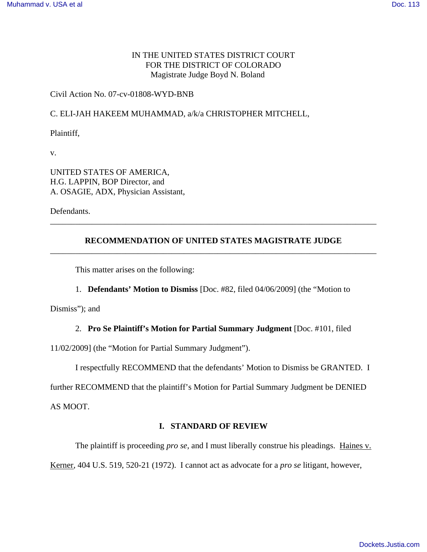# IN THE UNITED STATES DISTRICT COURT FOR THE DISTRICT OF COLORADO Magistrate Judge Boyd N. Boland

# Civil Action No. 07-cv-01808-WYD-BNB

# C. ELI-JAH HAKEEM MUHAMMAD, a/k/a CHRISTOPHER MITCHELL,

Plaintiff,

v.

UNITED STATES OF AMERICA, H.G. LAPPIN, BOP Director, and A. OSAGIE, ADX, Physician Assistant,

Defendants.

# **RECOMMENDATION OF UNITED STATES MAGISTRATE JUDGE** \_\_\_\_\_\_\_\_\_\_\_\_\_\_\_\_\_\_\_\_\_\_\_\_\_\_\_\_\_\_\_\_\_\_\_\_\_\_\_\_\_\_\_\_\_\_\_\_\_\_\_\_\_\_\_\_\_\_\_\_\_\_\_\_\_\_\_\_\_\_\_\_\_\_\_\_\_\_

\_\_\_\_\_\_\_\_\_\_\_\_\_\_\_\_\_\_\_\_\_\_\_\_\_\_\_\_\_\_\_\_\_\_\_\_\_\_\_\_\_\_\_\_\_\_\_\_\_\_\_\_\_\_\_\_\_\_\_\_\_\_\_\_\_\_\_\_\_\_\_\_\_\_\_\_\_\_

This matter arises on the following:

1. **Defendants' Motion to Dismiss** [Doc. #82, filed 04/06/2009] (the "Motion to

Dismiss"); and

# 2. **Pro Se Plaintiff's Motion for Partial Summary Judgment** [Doc. #101, filed

11/02/2009] (the "Motion for Partial Summary Judgment").

I respectfully RECOMMEND that the defendants' Motion to Dismiss be GRANTED. I

further RECOMMEND that the plaintiff's Motion for Partial Summary Judgment be DENIED

AS MOOT.

# **I. STANDARD OF REVIEW**

The plaintiff is proceeding *pro se*, and I must liberally construe his pleadings. Haines v. Kerner, 404 U.S. 519, 520-21 (1972). I cannot act as advocate for a *pro se* litigant, however,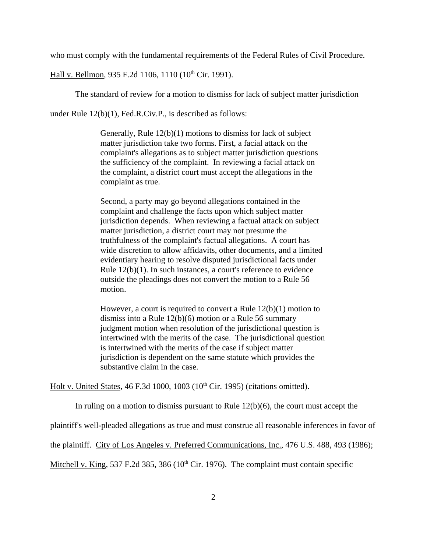who must comply with the fundamental requirements of the Federal Rules of Civil Procedure.

Hall v. Bellmon, 935 F.2d 1106, 1110 (10<sup>th</sup> Cir. 1991).

The standard of review for a motion to dismiss for lack of subject matter jurisdiction

under Rule 12(b)(1), Fed.R.Civ.P., is described as follows:

Generally, Rule 12(b)(1) motions to dismiss for lack of subject matter jurisdiction take two forms. First, a facial attack on the complaint's allegations as to subject matter jurisdiction questions the sufficiency of the complaint. In reviewing a facial attack on the complaint, a district court must accept the allegations in the complaint as true.

Second, a party may go beyond allegations contained in the complaint and challenge the facts upon which subject matter jurisdiction depends. When reviewing a factual attack on subject matter jurisdiction, a district court may not presume the truthfulness of the complaint's factual allegations. A court has wide discretion to allow affidavits, other documents, and a limited evidentiary hearing to resolve disputed jurisdictional facts under Rule 12(b)(1). In such instances, a court's reference to evidence outside the pleadings does not convert the motion to a Rule 56 motion.

However, a court is required to convert a Rule 12(b)(1) motion to dismiss into a Rule 12(b)(6) motion or a Rule 56 summary judgment motion when resolution of the jurisdictional question is intertwined with the merits of the case. The jurisdictional question is intertwined with the merits of the case if subject matter jurisdiction is dependent on the same statute which provides the substantive claim in the case.

Holt v. United States, 46 F.3d 1000, 1003 ( $10<sup>th</sup>$  Cir. 1995) (citations omitted).

In ruling on a motion to dismiss pursuant to Rule  $12(b)(6)$ , the court must accept the

plaintiff's well-pleaded allegations as true and must construe all reasonable inferences in favor of

the plaintiff. City of Los Angeles v. Preferred Communications, Inc., 476 U.S. 488, 493 (1986);

Mitchell v. King, 537 F.2d 385, 386 ( $10^{th}$  Cir. 1976). The complaint must contain specific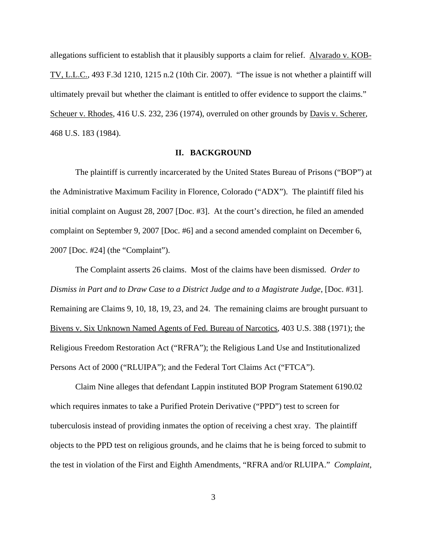allegations sufficient to establish that it plausibly supports a claim for relief. Alvarado v. KOB-TV, L.L.C., 493 F.3d 1210, 1215 n.2 (10th Cir. 2007). "The issue is not whether a plaintiff will ultimately prevail but whether the claimant is entitled to offer evidence to support the claims." Scheuer v. Rhodes, 416 U.S. 232, 236 (1974), overruled on other grounds by Davis v. Scherer, 468 U.S. 183 (1984).

### **II. BACKGROUND**

The plaintiff is currently incarcerated by the United States Bureau of Prisons ("BOP") at the Administrative Maximum Facility in Florence, Colorado ("ADX"). The plaintiff filed his initial complaint on August 28, 2007 [Doc. #3]. At the court's direction, he filed an amended complaint on September 9, 2007 [Doc. #6] and a second amended complaint on December 6, 2007 [Doc. #24] (the "Complaint").

The Complaint asserts 26 claims. Most of the claims have been dismissed. *Order to Dismiss in Part and to Draw Case to a District Judge and to a Magistrate Judge*, [Doc. #31]. Remaining are Claims 9, 10, 18, 19, 23, and 24. The remaining claims are brought pursuant to Bivens v. Six Unknown Named Agents of Fed. Bureau of Narcotics, 403 U.S. 388 (1971); the Religious Freedom Restoration Act ("RFRA"); the Religious Land Use and Institutionalized Persons Act of 2000 ("RLUIPA"); and the Federal Tort Claims Act ("FTCA").

Claim Nine alleges that defendant Lappin instituted BOP Program Statement 6190.02 which requires inmates to take a Purified Protein Derivative ("PPD") test to screen for tuberculosis instead of providing inmates the option of receiving a chest xray. The plaintiff objects to the PPD test on religious grounds, and he claims that he is being forced to submit to the test in violation of the First and Eighth Amendments, "RFRA and/or RLUIPA." *Complaint*,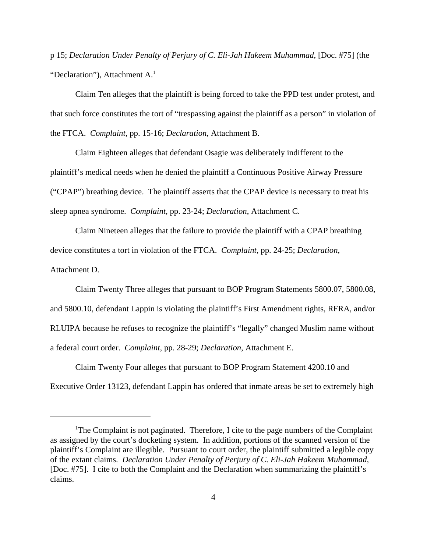p 15; *Declaration Under Penalty of Perjury of C. Eli-Jah Hakeem Muhammad*, [Doc. #75] (the "Declaration"), Attachment  $A<sup>1</sup>$ 

Claim Ten alleges that the plaintiff is being forced to take the PPD test under protest, and that such force constitutes the tort of "trespassing against the plaintiff as a person" in violation of the FTCA. *Complaint*, pp. 15-16; *Declaration*, Attachment B.

Claim Eighteen alleges that defendant Osagie was deliberately indifferent to the plaintiff's medical needs when he denied the plaintiff a Continuous Positive Airway Pressure ("CPAP") breathing device. The plaintiff asserts that the CPAP device is necessary to treat his sleep apnea syndrome. *Complaint*, pp. 23-24; *Declaration*, Attachment C.

Claim Nineteen alleges that the failure to provide the plaintiff with a CPAP breathing device constitutes a tort in violation of the FTCA. *Complaint*, pp. 24-25; *Declaration*, Attachment D.

Claim Twenty Three alleges that pursuant to BOP Program Statements 5800.07, 5800.08, and 5800.10, defendant Lappin is violating the plaintiff's First Amendment rights, RFRA, and/or RLUIPA because he refuses to recognize the plaintiff's "legally" changed Muslim name without a federal court order. *Complaint*, pp. 28-29; *Declaration*, Attachment E.

Claim Twenty Four alleges that pursuant to BOP Program Statement 4200.10 and Executive Order 13123, defendant Lappin has ordered that inmate areas be set to extremely high

<sup>&</sup>lt;sup>1</sup>The Complaint is not paginated. Therefore, I cite to the page numbers of the Complaint as assigned by the court's docketing system. In addition, portions of the scanned version of the plaintiff's Complaint are illegible. Pursuant to court order, the plaintiff submitted a legible copy of the extant claims. *Declaration Under Penalty of Perjury of C. Eli-Jah Hakeem Muhammad*, [Doc. #75]. I cite to both the Complaint and the Declaration when summarizing the plaintiff's claims.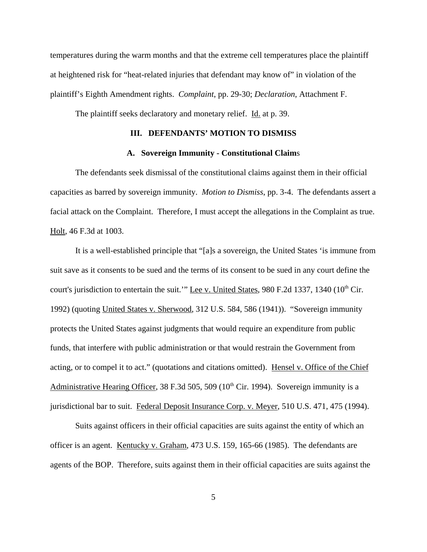temperatures during the warm months and that the extreme cell temperatures place the plaintiff at heightened risk for "heat-related injuries that defendant may know of" in violation of the plaintiff's Eighth Amendment rights. *Complaint*, pp. 29-30; *Declaration*, Attachment F.

The plaintiff seeks declaratory and monetary relief. Id. at p. 39.

#### **III. DEFENDANTS' MOTION TO DISMISS**

### **A. Sovereign Immunity - Constitutional Claim**s

The defendants seek dismissal of the constitutional claims against them in their official capacities as barred by sovereign immunity. *Motion to Dismiss*, pp. 3-4. The defendants assert a facial attack on the Complaint. Therefore, I must accept the allegations in the Complaint as true. Holt, 46 F.3d at 1003.

It is a well-established principle that "[a]s a sovereign, the United States 'is immune from suit save as it consents to be sued and the terms of its consent to be sued in any court define the court's jurisdiction to entertain the suit.'" Lee v. United States, 980 F.2d 1337, 1340 (10<sup>th</sup> Cir. 1992) (quoting United States v. Sherwood, 312 U.S. 584, 586 (1941)). "Sovereign immunity protects the United States against judgments that would require an expenditure from public funds, that interfere with public administration or that would restrain the Government from acting, or to compel it to act." (quotations and citations omitted). Hensel v. Office of the Chief Administrative Hearing Officer, 38 F.3d 505, 509 (10<sup>th</sup> Cir. 1994). Sovereign immunity is a jurisdictional bar to suit. Federal Deposit Insurance Corp. v. Meyer, 510 U.S. 471, 475 (1994).

Suits against officers in their official capacities are suits against the entity of which an officer is an agent. Kentucky v. Graham, 473 U.S. 159, 165-66 (1985). The defendants are agents of the BOP. Therefore, suits against them in their official capacities are suits against the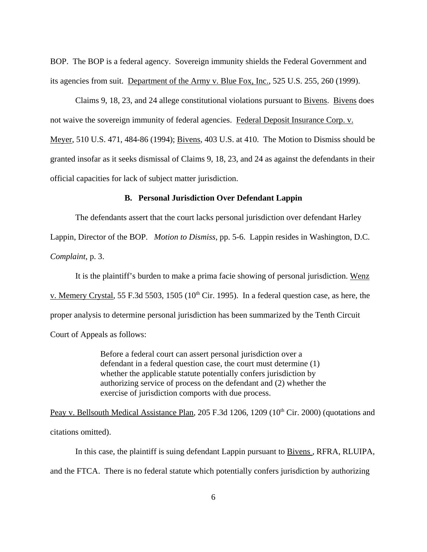BOP. The BOP is a federal agency. Sovereign immunity shields the Federal Government and its agencies from suit. Department of the Army v. Blue Fox, Inc., 525 U.S. 255, 260 (1999).

Claims 9, 18, 23, and 24 allege constitutional violations pursuant to Bivens. Bivens does not waive the sovereign immunity of federal agencies. Federal Deposit Insurance Corp. v. Meyer, 510 U.S. 471, 484-86 (1994); Bivens, 403 U.S. at 410. The Motion to Dismiss should be granted insofar as it seeks dismissal of Claims 9, 18, 23, and 24 as against the defendants in their official capacities for lack of subject matter jurisdiction.

### **B. Personal Jurisdiction Over Defendant Lappin**

The defendants assert that the court lacks personal jurisdiction over defendant Harley

Lappin, Director of the BOP. *Motion to Dismiss*, pp. 5-6. Lappin resides in Washington, D.C. *Complaint*, p. 3.

It is the plaintiff's burden to make a prima facie showing of personal jurisdiction. Wenz v. Memery Crystal, 55 F.3d 5503, 1505 (10<sup>th</sup> Cir. 1995). In a federal question case, as here, the proper analysis to determine personal jurisdiction has been summarized by the Tenth Circuit Court of Appeals as follows:

> Before a federal court can assert personal jurisdiction over a defendant in a federal question case, the court must determine (1) whether the applicable statute potentially confers jurisdiction by authorizing service of process on the defendant and (2) whether the exercise of jurisdiction comports with due process.

Peay v. Bellsouth Medical Assistance Plan, 205 F.3d 1206, 1209 (10<sup>th</sup> Cir. 2000) (quotations and citations omitted).

In this case, the plaintiff is suing defendant Lappin pursuant to **Bivens**, RFRA, RLUIPA, and the FTCA. There is no federal statute which potentially confers jurisdiction by authorizing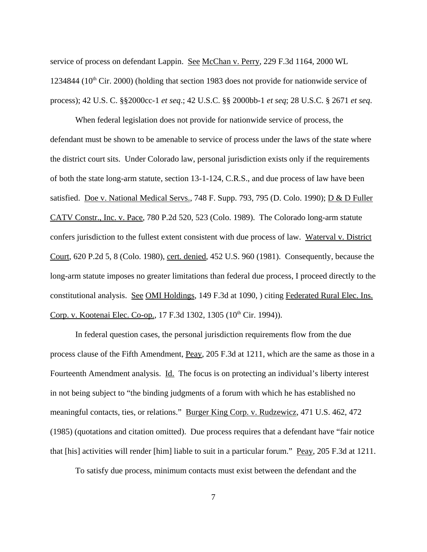service of process on defendant Lappin. See McChan v. Perry, 229 F.3d 1164, 2000 WL 1234844 ( $10<sup>th</sup>$  Cir. 2000) (holding that section 1983 does not provide for nationwide service of process); 42 U.S. C. §§2000cc-1 *et seq*.; 42 U.S.C. §§ 2000bb-1 *et seq*; 28 U.S.C. § 2671 *et seq*.

When federal legislation does not provide for nationwide service of process, the defendant must be shown to be amenable to service of process under the laws of the state where the district court sits. Under Colorado law, personal jurisdiction exists only if the requirements of both the state long-arm statute, section 13-1-124, C.R.S., and due process of law have been satisfied. Doe v. National Medical Servs., 748 F. Supp. 793, 795 (D. Colo. 1990); D & D Fuller CATV Constr., Inc. v. Pace, 780 P.2d 520, 523 (Colo. 1989). The Colorado long-arm statute confers jurisdiction to the fullest extent consistent with due process of law. Waterval v. District Court, 620 P.2d 5, 8 (Colo. 1980), cert. denied, 452 U.S. 960 (1981). Consequently, because the long-arm statute imposes no greater limitations than federal due process, I proceed directly to the constitutional analysis. See OMI Holdings, 149 F.3d at 1090, ) citing Federated Rural Elec. Ins. Corp. v. Kootenai Elec. Co-op., 17 F.3d 1302, 1305 (10<sup>th</sup> Cir. 1994)).

In federal question cases, the personal jurisdiction requirements flow from the due process clause of the Fifth Amendment, Peay, 205 F.3d at 1211, which are the same as those in a Fourteenth Amendment analysis. Id. The focus is on protecting an individual's liberty interest in not being subject to "the binding judgments of a forum with which he has established no meaningful contacts, ties, or relations." Burger King Corp. v. Rudzewicz, 471 U.S. 462, 472 (1985) (quotations and citation omitted). Due process requires that a defendant have "fair notice that [his] activities will render [him] liable to suit in a particular forum." Peay, 205 F.3d at 1211.

To satisfy due process, minimum contacts must exist between the defendant and the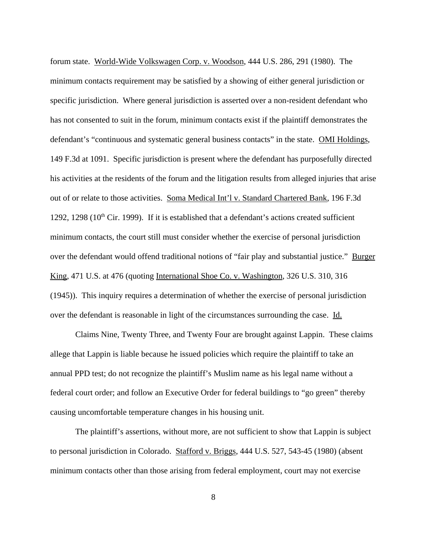forum state. World-Wide Volkswagen Corp. v. Woodson, 444 U.S. 286, 291 (1980). The minimum contacts requirement may be satisfied by a showing of either general jurisdiction or specific jurisdiction. Where general jurisdiction is asserted over a non-resident defendant who has not consented to suit in the forum, minimum contacts exist if the plaintiff demonstrates the defendant's "continuous and systematic general business contacts" in the state. OMI Holdings, 149 F.3d at 1091. Specific jurisdiction is present where the defendant has purposefully directed his activities at the residents of the forum and the litigation results from alleged injuries that arise out of or relate to those activities. Soma Medical Int'l v. Standard Chartered Bank, 196 F.3d 1292, 1298 ( $10<sup>th</sup>$  Cir. 1999). If it is established that a defendant's actions created sufficient minimum contacts, the court still must consider whether the exercise of personal jurisdiction over the defendant would offend traditional notions of "fair play and substantial justice." Burger King, 471 U.S. at 476 (quoting International Shoe Co. v. Washington, 326 U.S. 310, 316 (1945)). This inquiry requires a determination of whether the exercise of personal jurisdiction over the defendant is reasonable in light of the circumstances surrounding the case. Id.

Claims Nine, Twenty Three, and Twenty Four are brought against Lappin. These claims allege that Lappin is liable because he issued policies which require the plaintiff to take an annual PPD test; do not recognize the plaintiff's Muslim name as his legal name without a federal court order; and follow an Executive Order for federal buildings to "go green" thereby causing uncomfortable temperature changes in his housing unit.

The plaintiff's assertions, without more, are not sufficient to show that Lappin is subject to personal jurisdiction in Colorado. Stafford v. Briggs, 444 U.S. 527, 543-45 (1980) (absent minimum contacts other than those arising from federal employment, court may not exercise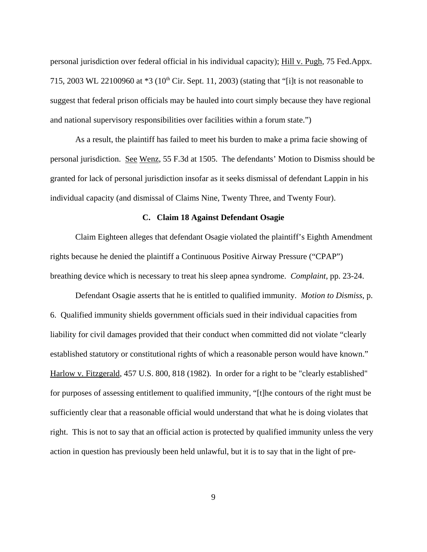personal jurisdiction over federal official in his individual capacity); Hill v. Pugh, 75 Fed.Appx. 715, 2003 WL 22100960 at  $*3$  (10<sup>th</sup> Cir. Sept. 11, 2003) (stating that "[i]t is not reasonable to suggest that federal prison officials may be hauled into court simply because they have regional and national supervisory responsibilities over facilities within a forum state.")

As a result, the plaintiff has failed to meet his burden to make a prima facie showing of personal jurisdiction. See Wenz, 55 F.3d at 1505. The defendants' Motion to Dismiss should be granted for lack of personal jurisdiction insofar as it seeks dismissal of defendant Lappin in his individual capacity (and dismissal of Claims Nine, Twenty Three, and Twenty Four).

### **C. Claim 18 Against Defendant Osagie**

Claim Eighteen alleges that defendant Osagie violated the plaintiff's Eighth Amendment rights because he denied the plaintiff a Continuous Positive Airway Pressure ("CPAP") breathing device which is necessary to treat his sleep apnea syndrome. *Complaint*, pp. 23-24.

Defendant Osagie asserts that he is entitled to qualified immunity. *Motion to Dismiss*, p. 6. Qualified immunity shields government officials sued in their individual capacities from liability for civil damages provided that their conduct when committed did not violate "clearly established statutory or constitutional rights of which a reasonable person would have known." Harlow v. Fitzgerald, 457 U.S. 800, 818 (1982). In order for a right to be "clearly established" for purposes of assessing entitlement to qualified immunity, "[t]he contours of the right must be sufficiently clear that a reasonable official would understand that what he is doing violates that right. This is not to say that an official action is protected by qualified immunity unless the very action in question has previously been held unlawful, but it is to say that in the light of pre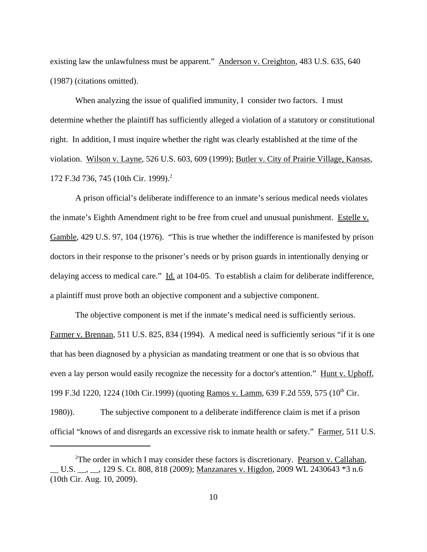existing law the unlawfulness must be apparent." Anderson v. Creighton, 483 U.S. 635, 640 (1987) (citations omitted).

When analyzing the issue of qualified immunity, I consider two factors. I must determine whether the plaintiff has sufficiently alleged a violation of a statutory or constitutional right. In addition, I must inquire whether the right was clearly established at the time of the violation. Wilson v. Layne, 526 U.S. 603, 609 (1999); Butler v. City of Prairie Village, Kansas, 172 F.3d 736, 745 (10th Cir. 1999).<sup>2</sup>

A prison official's deliberate indifference to an inmate's serious medical needs violates the inmate's Eighth Amendment right to be free from cruel and unusual punishment. Estelle v. Gamble, 429 U.S. 97, 104 (1976). "This is true whether the indifference is manifested by prison doctors in their response to the prisoner's needs or by prison guards in intentionally denying or delaying access to medical care." Id. at 104-05. To establish a claim for deliberate indifference, a plaintiff must prove both an objective component and a subjective component.

The objective component is met if the inmate's medical need is sufficiently serious. Farmer v. Brennan, 511 U.S. 825, 834 (1994). A medical need is sufficiently serious "if it is one that has been diagnosed by a physician as mandating treatment or one that is so obvious that even a lay person would easily recognize the necessity for a doctor's attention." Hunt v. Uphoff, 199 F.3d 1220, 1224 (10th Cir.1999) (quoting Ramos v. Lamm, 639 F.2d 559, 575 (10<sup>th</sup> Cir. 1980)). The subjective component to a deliberate indifference claim is met if a prison official "knows of and disregards an excessive risk to inmate health or safety." Farmer, 511 U.S.

<sup>&</sup>lt;sup>2</sup>The order in which I may consider these factors is discretionary. Pearson v. Callahan, \_\_ U.S. \_\_, \_\_, 129 S. Ct. 808, 818 (2009); Manzanares v. Higdon, 2009 WL 2430643 \*3 n.6 (10th Cir. Aug. 10, 2009).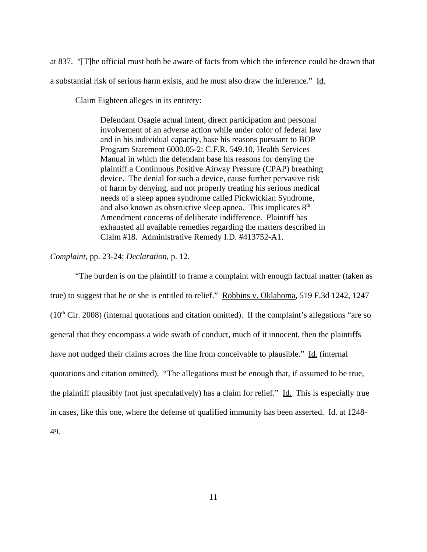at 837. "[T]he official must both be aware of facts from which the inference could be drawn that a substantial risk of serious harm exists, and he must also draw the inference." Id.

Claim Eighteen alleges in its entirety:

Defendant Osagie actual intent, direct participation and personal involvement of an adverse action while under color of federal law and in his individual capacity, base his reasons pursuant to BOP Program Statement 6000.05-2: C.F.R. 549.10, Health Services Manual in which the defendant base his reasons for denying the plaintiff a Continuous Positive Airway Pressure (CPAP) breathing device. The denial for such a device, cause further pervasive risk of harm by denying, and not properly treating his serious medical needs of a sleep apnea syndrome called Pickwickian Syndrome, and also known as obstructive sleep apnea. This implicates  $8<sup>th</sup>$ Amendment concerns of deliberate indifference. Plaintiff has exhausted all available remedies regarding the matters described in Claim #18. Administrative Remedy I.D. #413752-A1.

## *Complaint*, pp. 23-24; *Declaration*, p. 12.

"The burden is on the plaintiff to frame a complaint with enough factual matter (taken as true) to suggest that he or she is entitled to relief." Robbins v. Oklahoma, 519 F.3d 1242, 1247  $(10<sup>th</sup> Cir. 2008)$  (internal quotations and citation omitted). If the complaint's allegations "are so general that they encompass a wide swath of conduct, much of it innocent, then the plaintiffs have not nudged their claims across the line from conceivable to plausible." Id. (internal quotations and citation omitted). "The allegations must be enough that, if assumed to be true, the plaintiff plausibly (not just speculatively) has a claim for relief." Id. This is especially true in cases, like this one, where the defense of qualified immunity has been asserted. Id. at 1248- 49.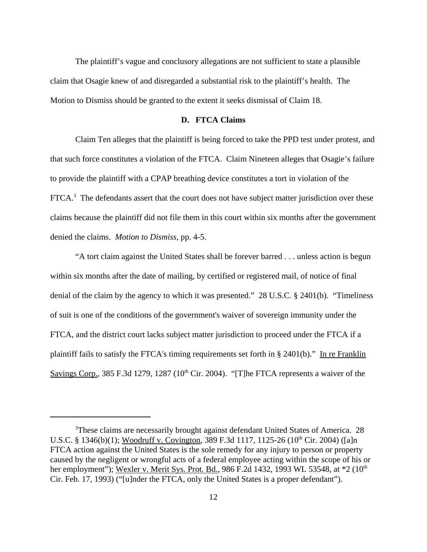The plaintiff's vague and conclusory allegations are not sufficient to state a plausible claim that Osagie knew of and disregarded a substantial risk to the plaintiff's health. The Motion to Dismiss should be granted to the extent it seeks dismissal of Claim 18.

### **D. FTCA Claims**

Claim Ten alleges that the plaintiff is being forced to take the PPD test under protest, and that such force constitutes a violation of the FTCA. Claim Nineteen alleges that Osagie's failure to provide the plaintiff with a CPAP breathing device constitutes a tort in violation of the FTCA.<sup>3</sup> The defendants assert that the court does not have subject matter jurisdiction over these claims because the plaintiff did not file them in this court within six months after the government denied the claims. *Motion to Dismiss*, pp. 4-5.

"A tort claim against the United States shall be forever barred . . . unless action is begun within six months after the date of mailing, by certified or registered mail, of notice of final denial of the claim by the agency to which it was presented." 28 U.S.C. § 2401(b). "Timeliness of suit is one of the conditions of the government's waiver of sovereign immunity under the FTCA, and the district court lacks subject matter jurisdiction to proceed under the FTCA if a plaintiff fails to satisfy the FTCA's timing requirements set forth in § 2401(b)." In re Franklin Savings Corp., 385 F.3d 1279, 1287 ( $10<sup>th</sup>$  Cir. 2004). "[T]he FTCA represents a waiver of the

<sup>&</sup>lt;sup>3</sup>These claims are necessarily brought against defendant United States of America. 28 U.S.C. § 1346(b)(1); Woodruff v. Covington, 389 F.3d 1117, 1125-26 (10<sup>th</sup> Cir. 2004) ([a]n FTCA action against the United States is the sole remedy for any injury to person or property caused by the negligent or wrongful acts of a federal employee acting within the scope of his or her employment"); Wexler v. Merit Sys. Prot. Bd., 986 F.2d 1432, 1993 WL 53548, at \*2 (10<sup>th</sup>) Cir. Feb. 17, 1993) ("[u]nder the FTCA, only the United States is a proper defendant").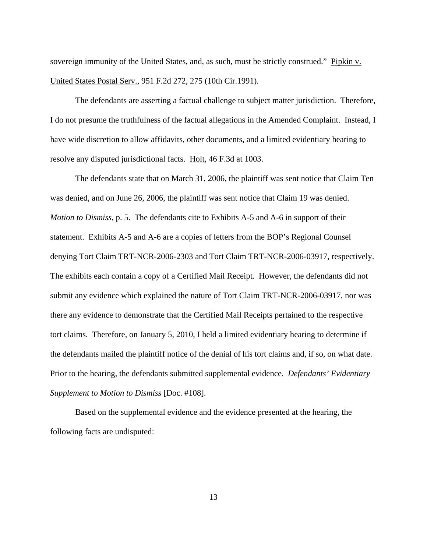sovereign immunity of the United States, and, as such, must be strictly construed." Pipkin v. United States Postal Serv., 951 F.2d 272, 275 (10th Cir.1991).

The defendants are asserting a factual challenge to subject matter jurisdiction. Therefore, I do not presume the truthfulness of the factual allegations in the Amended Complaint. Instead, I have wide discretion to allow affidavits, other documents, and a limited evidentiary hearing to resolve any disputed jurisdictional facts. Holt, 46 F.3d at 1003.

The defendants state that on March 31, 2006, the plaintiff was sent notice that Claim Ten was denied, and on June 26, 2006, the plaintiff was sent notice that Claim 19 was denied. *Motion to Dismiss*, p. 5. The defendants cite to Exhibits A-5 and A-6 in support of their statement. Exhibits A-5 and A-6 are a copies of letters from the BOP's Regional Counsel denying Tort Claim TRT-NCR-2006-2303 and Tort Claim TRT-NCR-2006-03917, respectively. The exhibits each contain a copy of a Certified Mail Receipt. However, the defendants did not submit any evidence which explained the nature of Tort Claim TRT-NCR-2006-03917, nor was there any evidence to demonstrate that the Certified Mail Receipts pertained to the respective tort claims. Therefore, on January 5, 2010, I held a limited evidentiary hearing to determine if the defendants mailed the plaintiff notice of the denial of his tort claims and, if so, on what date. Prior to the hearing, the defendants submitted supplemental evidence. *Defendants' Evidentiary Supplement to Motion to Dismiss* [Doc. #108].

Based on the supplemental evidence and the evidence presented at the hearing, the following facts are undisputed: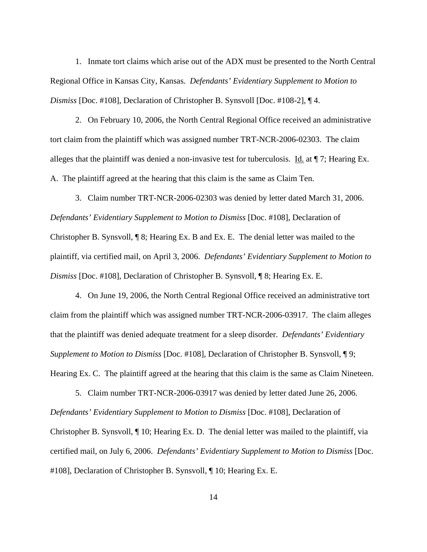1. Inmate tort claims which arise out of the ADX must be presented to the North Central Regional Office in Kansas City, Kansas. *Defendants' Evidentiary Supplement to Motion to Dismiss* [Doc. #108], Declaration of Christopher B. Synsvoll [Doc. #108-2], ¶ 4.

2. On February 10, 2006, the North Central Regional Office received an administrative tort claim from the plaintiff which was assigned number TRT-NCR-2006-02303. The claim alleges that the plaintiff was denied a non-invasive test for tuberculosis. Id. at ¶ 7; Hearing Ex. A. The plaintiff agreed at the hearing that this claim is the same as Claim Ten.

3. Claim number TRT-NCR-2006-02303 was denied by letter dated March 31, 2006. *Defendants' Evidentiary Supplement to Motion to Dismiss* [Doc. #108], Declaration of Christopher B. Synsvoll, ¶ 8; Hearing Ex. B and Ex. E. The denial letter was mailed to the plaintiff, via certified mail, on April 3, 2006. *Defendants' Evidentiary Supplement to Motion to Dismiss* [Doc. #108], Declaration of Christopher B. Synsvoll, ¶ 8; Hearing Ex. E.

4. On June 19, 2006, the North Central Regional Office received an administrative tort claim from the plaintiff which was assigned number TRT-NCR-2006-03917. The claim alleges that the plaintiff was denied adequate treatment for a sleep disorder. *Defendants' Evidentiary Supplement to Motion to Dismiss* [Doc. #108], Declaration of Christopher B. Synsvoll, ¶ 9; Hearing Ex. C. The plaintiff agreed at the hearing that this claim is the same as Claim Nineteen.

5. Claim number TRT-NCR-2006-03917 was denied by letter dated June 26, 2006. *Defendants' Evidentiary Supplement to Motion to Dismiss* [Doc. #108], Declaration of Christopher B. Synsvoll, ¶ 10; Hearing Ex. D. The denial letter was mailed to the plaintiff, via certified mail, on July 6, 2006. *Defendants' Evidentiary Supplement to Motion to Dismiss* [Doc. #108], Declaration of Christopher B. Synsvoll, ¶ 10; Hearing Ex. E.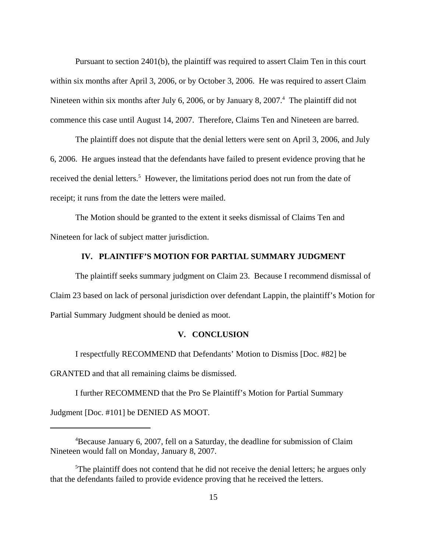Pursuant to section 2401(b), the plaintiff was required to assert Claim Ten in this court within six months after April 3, 2006, or by October 3, 2006. He was required to assert Claim Nineteen within six months after July 6, 2006, or by January 8, 2007.<sup>4</sup> The plaintiff did not commence this case until August 14, 2007. Therefore, Claims Ten and Nineteen are barred.

The plaintiff does not dispute that the denial letters were sent on April 3, 2006, and July 6, 2006. He argues instead that the defendants have failed to present evidence proving that he received the denial letters.<sup>5</sup> However, the limitations period does not run from the date of receipt; it runs from the date the letters were mailed.

The Motion should be granted to the extent it seeks dismissal of Claims Ten and Nineteen for lack of subject matter jurisdiction.

## **IV. PLAINTIFF'S MOTION FOR PARTIAL SUMMARY JUDGMENT**

The plaintiff seeks summary judgment on Claim 23. Because I recommend dismissal of Claim 23 based on lack of personal jurisdiction over defendant Lappin, the plaintiff's Motion for Partial Summary Judgment should be denied as moot.

## **V. CONCLUSION**

I respectfully RECOMMEND that Defendants' Motion to Dismiss [Doc. #82] be GRANTED and that all remaining claims be dismissed.

I further RECOMMEND that the Pro Se Plaintiff's Motion for Partial Summary Judgment [Doc. #101] be DENIED AS MOOT.

<sup>&</sup>lt;sup>4</sup>Because January 6, 2007, fell on a Saturday, the deadline for submission of Claim Nineteen would fall on Monday, January 8, 2007.

 $5$ The plaintiff does not contend that he did not receive the denial letters; he argues only that the defendants failed to provide evidence proving that he received the letters.